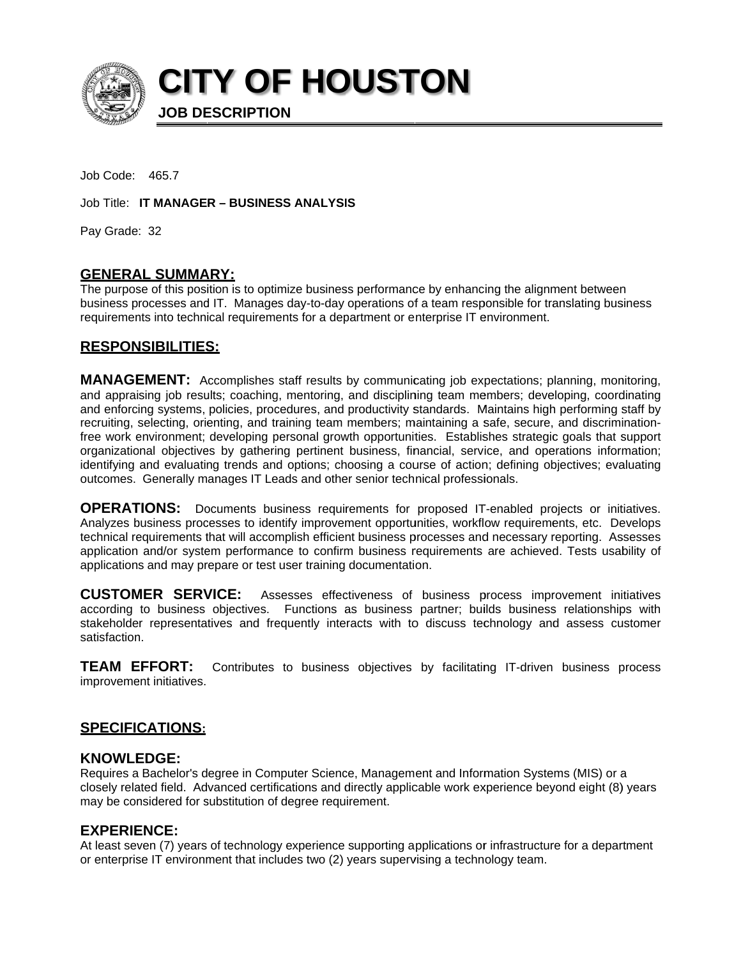

**CITY OF HOUSTON** 

**JOB DESCRIPTION** 

Job Code: 465.7

Job Title: IT MANAGER - BUSINESS ANALYSIS

Pay Grade: 32

## **GENERAL SUMMARY:**

The purpose of this position is to optimize business performance by enhancing the alignment between business processes and IT. Manages day-to-day operations of a team responsible for translating business requirements into technical requirements for a department or enterprise IT environment.

## **RESPONSIBILITIES:**

**MANAGEMENT:** Accomplishes staff results by communicating job expectations; planning, monitoring, and appraising job results; coaching, mentoring, and disciplining team members; developing, coordinating and enforcing systems, policies, procedures, and productivity standards. Maintains high performing staff by recruiting, selecting, orienting, and training team members; maintaining a safe, secure, and discriminationfree work environment; developing personal growth opportunities. Establishes strategic goals that support organizational objectives by gathering pertinent business, financial, service, and operations information; identifying and evaluating trends and options; choosing a course of action; defining objectives; evaluating outcomes. Generally manages IT Leads and other senior technical professionals.

**OPERATIONS:** Documents business requirements for proposed IT-enabled projects or initiatives. Analyzes business processes to identify improvement opportunities, workflow requirements, etc. Develops technical requirements that will accomplish efficient business processes and necessary reporting. Assesses application and/or system performance to confirm business requirements are achieved. Tests usability of applications and may prepare or test user training documentation.

**CUSTOMER SERVICE:** Assesses effectiveness of business process improvement initiatives according to business objectives. Functions as business partner; builds business relationships with stakeholder representatives and frequently interacts with to discuss technology and assess customer satisfaction.

**TEAM EFFORT:** Contributes to business objectives by facilitating IT-driven business process improvement initiatives.

## <u>SPECIFICATIONS:</u>

#### **KNOWLEDGE:**

Requires a Bachelor's degree in Computer Science, Management and Information Systems (MIS) or a closely related field. Advanced certifications and directly applicable work experience beyond eight (8) years may be considered for substitution of degree requirement.

## **EXPERIENCE:**

At least seven (7) years of technology experience supporting applications or infrastructure for a department or enterprise IT environment that includes two (2) years supervising a technology team.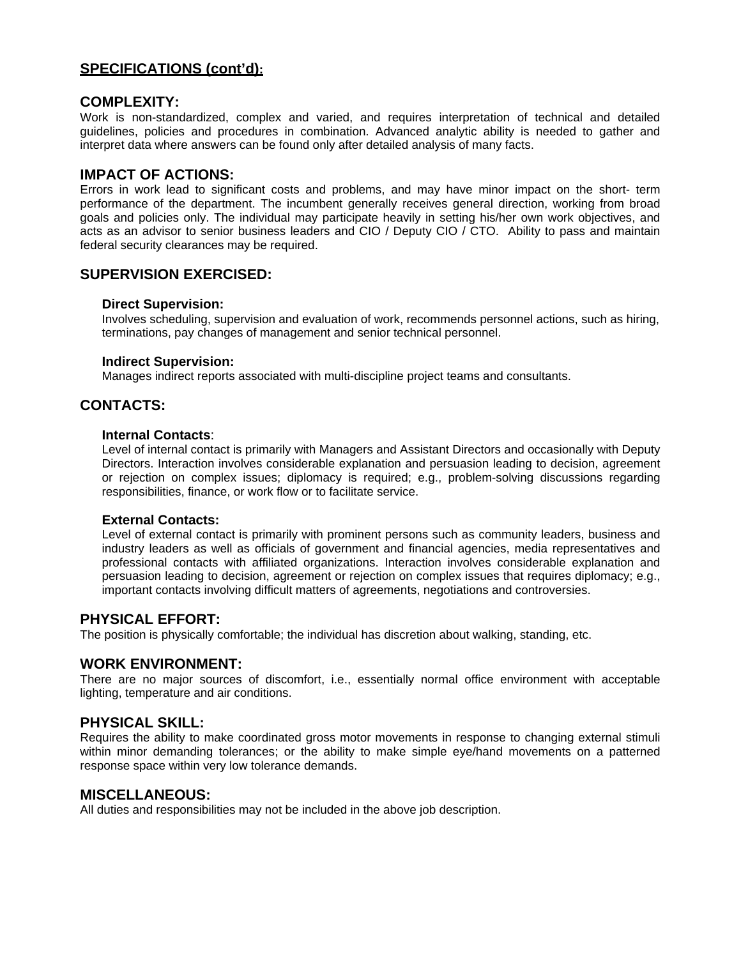## **SPECIFICATIONS (cont'd):**

### **COMPLEXITY:**

Work is non-standardized, complex and varied, and requires interpretation of technical and detailed guidelines, policies and procedures in combination. Advanced analytic ability is needed to gather and interpret data where answers can be found only after detailed analysis of many facts.

## **IMPACT OF ACTIONS:**

Errors in work lead to significant costs and problems, and may have minor impact on the short- term performance of the department. The incumbent generally receives general direction, working from broad goals and policies only. The individual may participate heavily in setting his/her own work objectives, and acts as an advisor to senior business leaders and CIO / Deputy CIO / CTO. Ability to pass and maintain federal security clearances may be required.

## **SUPERVISION EXERCISED:**

#### **Direct Supervision:**

Involves scheduling, supervision and evaluation of work, recommends personnel actions, such as hiring, terminations, pay changes of management and senior technical personnel.

#### **Indirect Supervision:**

Manages indirect reports associated with multi-discipline project teams and consultants.

## **CONTACTS:**

#### **Internal Contacts**:

Level of internal contact is primarily with Managers and Assistant Directors and occasionally with Deputy Directors. Interaction involves considerable explanation and persuasion leading to decision, agreement or rejection on complex issues; diplomacy is required; e.g., problem-solving discussions regarding responsibilities, finance, or work flow or to facilitate service.

#### **External Contacts:**

Level of external contact is primarily with prominent persons such as community leaders, business and industry leaders as well as officials of government and financial agencies, media representatives and professional contacts with affiliated organizations. Interaction involves considerable explanation and persuasion leading to decision, agreement or rejection on complex issues that requires diplomacy; e.g., important contacts involving difficult matters of agreements, negotiations and controversies.

#### **PHYSICAL EFFORT:**

The position is physically comfortable; the individual has discretion about walking, standing, etc.

#### **WORK ENVIRONMENT:**

There are no major sources of discomfort, i.e., essentially normal office environment with acceptable lighting, temperature and air conditions.

#### **PHYSICAL SKILL:**

Requires the ability to make coordinated gross motor movements in response to changing external stimuli within minor demanding tolerances; or the ability to make simple eye/hand movements on a patterned response space within very low tolerance demands.

#### **MISCELLANEOUS:**

All duties and responsibilities may not be included in the above job description.